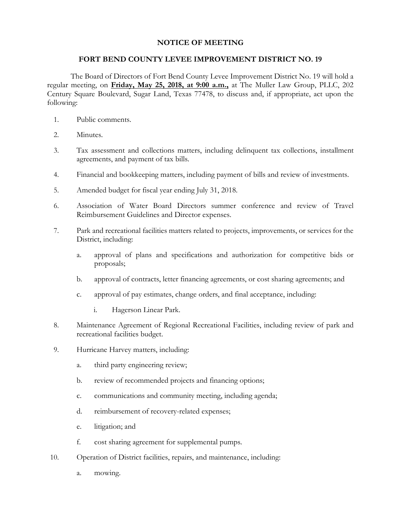## **NOTICE OF MEETING**

## **FORT BEND COUNTY LEVEE IMPROVEMENT DISTRICT NO. 19**

The Board of Directors of Fort Bend County Levee Improvement District No. 19 will hold a regular meeting, on **Friday, May 25, 2018, at 9:00 a.m.,** at The Muller Law Group, PLLC, 202 Century Square Boulevard, Sugar Land, Texas 77478, to discuss and, if appropriate, act upon the following:

- 1. Public comments.
- 2. Minutes.
- 3. Tax assessment and collections matters, including delinquent tax collections, installment agreements, and payment of tax bills.
- 4. Financial and bookkeeping matters, including payment of bills and review of investments.
- 5. Amended budget for fiscal year ending July 31, 2018.
- 6. Association of Water Board Directors summer conference and review of Travel Reimbursement Guidelines and Director expenses.
- 7. Park and recreational facilities matters related to projects, improvements, or services for the District, including:
	- a. approval of plans and specifications and authorization for competitive bids or proposals;
	- b. approval of contracts, letter financing agreements, or cost sharing agreements; and
	- c. approval of pay estimates, change orders, and final acceptance, including:
		- i. Hagerson Linear Park.
- 8. Maintenance Agreement of Regional Recreational Facilities, including review of park and recreational facilities budget.
- 9. Hurricane Harvey matters, including:
	- a. third party engineering review;
	- b. review of recommended projects and financing options;
	- c. communications and community meeting, including agenda;
	- d. reimbursement of recovery-related expenses;
	- e. litigation; and
	- f. cost sharing agreement for supplemental pumps.
- 10. Operation of District facilities, repairs, and maintenance, including:
	- a. mowing.